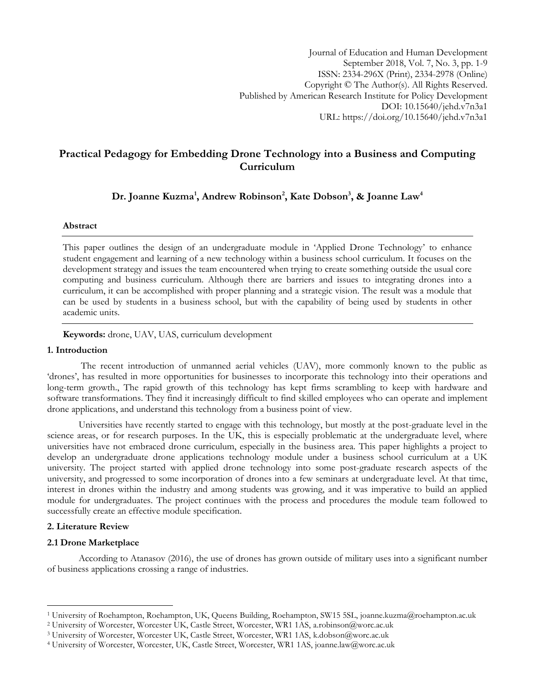# **Practical Pedagogy for Embedding Drone Technology into a Business and Computing Curriculum**

**Dr. Joanne Kuzma<sup>1</sup> , Andrew Robinson<sup>2</sup> , Kate Dobson<sup>3</sup> , & Joanne Law<sup>4</sup>**

### **Abstract**

This paper outlines the design of an undergraduate module in "Applied Drone Technology" to enhance student engagement and learning of a new technology within a business school curriculum. It focuses on the development strategy and issues the team encountered when trying to create something outside the usual core computing and business curriculum. Although there are barriers and issues to integrating drones into a curriculum, it can be accomplished with proper planning and a strategic vision. The result was a module that can be used by students in a business school, but with the capability of being used by students in other academic units.

**Keywords:** drone, UAV, UAS, curriculum development

### **1. Introduction**

The recent introduction of unmanned aerial vehicles (UAV), more commonly known to the public as 'drones', has resulted in more opportunities for businesses to incorporate this technology into their operations and long-term growth., The rapid growth of this technology has kept firms scrambling to keep with hardware and software transformations. They find it increasingly difficult to find skilled employees who can operate and implement drone applications, and understand this technology from a business point of view.

Universities have recently started to engage with this technology, but mostly at the post-graduate level in the science areas, or for research purposes. In the UK, this is especially problematic at the undergraduate level, where universities have not embraced drone curriculum, especially in the business area. This paper highlights a project to develop an undergraduate drone applications technology module under a business school curriculum at a UK university. The project started with applied drone technology into some post-graduate research aspects of the university, and progressed to some incorporation of drones into a few seminars at undergraduate level. At that time, interest in drones within the industry and among students was growing, and it was imperative to build an applied module for undergraduates. The project continues with the process and procedures the module team followed to successfully create an effective module specification.

## **2. Literature Review**

 $\overline{a}$ 

## **2.1 Drone Marketplace**

According to Atanasov (2016), the use of drones has grown outside of military uses into a significant number of business applications crossing a range of industries.

<sup>1</sup> University of Roehampton, Roehampton, UK, Queens Building, Roehampton, SW15 5SL, [joanne.kuzma@roehampton.ac.uk](mailto:joanne.kuzma@roehampton.ac.uk)

<sup>2</sup> University of Worcester, Worcester UK, Castle Street, Worcester, WR1 1AS, [a.robinson@worc.ac.uk](mailto:a.robinson@worc.ac.uk)

<sup>3</sup> University of Worcester, Worcester UK, Castle Street, Worcester, WR1 1AS, [k.dobson@worc.ac.uk](mailto:k.dobson@worc.ac.uk)

<sup>4</sup> University of Worcester, Worcester, UK, Castle Street, Worcester, WR1 1AS, joanne.law@worc.ac.uk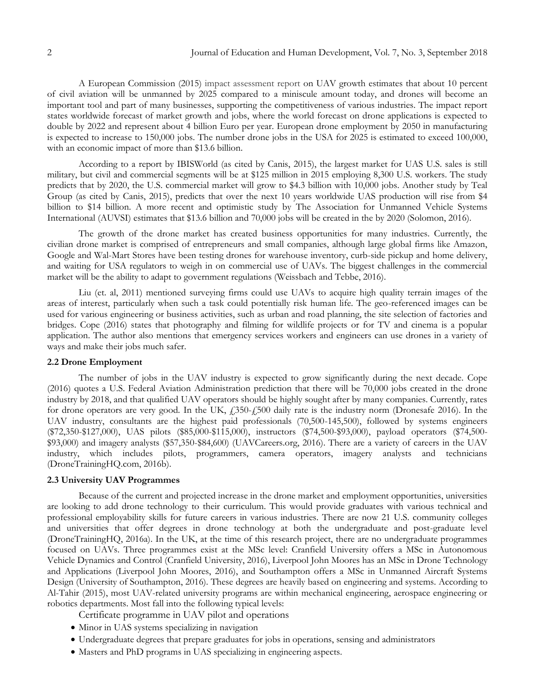A European Commission (2015) [impact assessment report](http://eur-lex.europa.eu/resource.html?uri=cellar:ec9e79f3-9ce9-11e5-8781-01aa75ed71a1.0001.02/DOC_2&format=PDF) on UAV growth estimates that about 10 percent of civil aviation will be unmanned by 2025 compared to a miniscule amount today, and drones will become an important tool and part of many businesses, supporting the competitiveness of various industries. The impact report states worldwide forecast of market growth and jobs, where the world forecast on drone applications is expected to double by 2022 and represent about 4 billion Euro per year. European drone employment by 2050 in manufacturing is expected to increase to 150,000 jobs. The number drone jobs in the USA for 2025 is estimated to exceed 100,000, with an economic impact of more than \$13.6 billion.

According to a report by IBISWorld (as cited by Canis, 2015), the largest market for UAS U.S. sales is still military, but civil and commercial segments will be at \$125 million in 2015 employing 8,300 U.S. workers. The study predicts that by 2020, the U.S. commercial market will grow to \$4.3 billion with 10,000 jobs. Another study by Teal Group (as cited by Canis, 2015), predicts that over the next 10 years worldwide UAS production will rise from \$4 billion to \$14 billion. A more recent and optimistic study by The Association for Unmanned Vehicle Systems International (AUVSI) estimates that \$13.6 billion and 70,000 jobs will be created in the by 2020 (Solomon, 2016).

The growth of the drone market has created business opportunities for many industries. Currently, the civilian drone market is comprised of entrepreneurs and small companies, although large global firms like Amazon, Google and Wal-Mart Stores have been testing drones for warehouse inventory, curb-side pickup and home delivery, and waiting for USA regulators to weigh in on commercial use of UAVs. The biggest challenges in the commercial market will be the ability to adapt to government regulations (Weissbach and Tebbe, 2016).

Liu (et. al, 2011) mentioned surveying firms could use UAVs to acquire high quality terrain images of the areas of interest, particularly when such a task could potentially risk human life. The geo-referenced images can be used for various engineering or business activities, such as urban and road planning, the site selection of factories and bridges. Cope (2016) states that photography and filming for wildlife projects or for TV and cinema is a popular application. The author also mentions that emergency services workers and engineers can use drones in a variety of ways and make their jobs much safer.

### **2.2 Drone Employment**

The number of jobs in the UAV industry is expected to grow significantly during the next decade. Cope (2016) quotes a U.S. Federal Aviation Administration prediction that there will be 70,000 jobs created in the drone industry by 2018, and that qualified UAV operators should be highly sought after by many companies. Currently, rates for drone operators are very good. In the UK, £350-£500 daily rate is the industry norm (Dronesafe 2016). In the UAV industry, consultants are the highest paid professionals (70,500-145,500), followed by systems engineers (\$72,350-\$127,000), UAS pilots (\$85,000-\$115,000), instructors (\$74,500-\$93,000), payload operators (\$74,500- \$93,000) and imagery analysts (\$57,350-\$84,600) (UAVCareers.org, 2016). There are a variety of careers in the UAV industry, which includes pilots, programmers, camera operators, imagery analysts and technicians (DroneTrainingHQ.com, 2016b).

### **2.3 University UAV Programmes**

Because of the current and projected increase in the drone market and employment opportunities, universities are looking to add drone technology to their curriculum. This would provide graduates with various technical and professional employability skills for future careers in various industries. There are now 21 U.S. community colleges and universities that offer degrees in drone technology at both the undergraduate and post-graduate level (DroneTrainingHQ, 2016a). In the UK, at the time of this research project, there are no undergraduate programmes focused on UAVs. Three programmes exist at the MSc level: Cranfield University offers a MSc in Autonomous Vehicle Dynamics and Control (Cranfield University, 2016), Liverpool John Moores has an MSc in Drone Technology and Applications (Liverpool John Moores, 2016), and Southampton offers a MSc in Unmanned Aircraft Systems Design (University of Southampton, 2016). These degrees are heavily based on engineering and systems. According to Al-Tahir (2015), most UAV-related university programs are within mechanical engineering, aerospace engineering or robotics departments. Most fall into the following typical levels:

Certificate programme in UAV pilot and operations

- Minor in UAS systems specializing in navigation
- Undergraduate degrees that prepare graduates for jobs in operations, sensing and administrators
- Masters and PhD programs in UAS specializing in engineering aspects.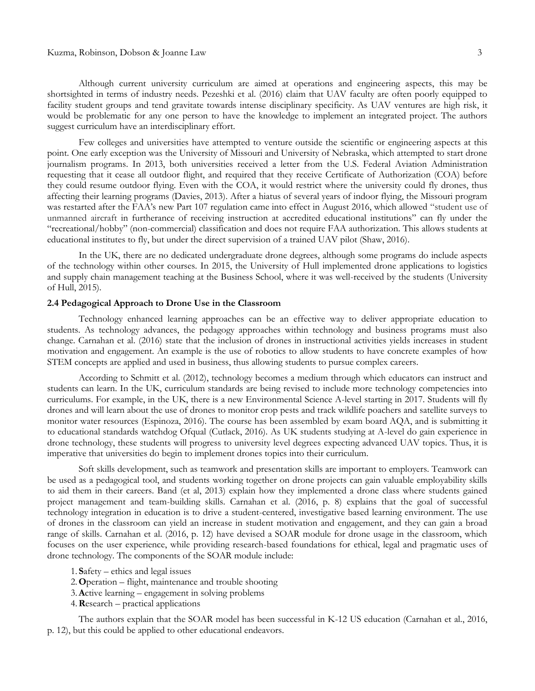#### Kuzma, Robinson, Dobson & Joanne Law 3

Although current university curriculum are aimed at operations and engineering aspects, this may be shortsighted in terms of industry needs. Pezeshki et al. (2016) claim that UAV faculty are often poorly equipped to facility student groups and tend gravitate towards intense disciplinary specificity. As UAV ventures are high risk, it would be problematic for any one person to have the knowledge to implement an integrated project. The authors suggest curriculum have an interdisciplinary effort.

Few colleges and universities have attempted to venture outside the scientific or engineering aspects at this point. One early exception was the University of Missouri and University of Nebraska, which attempted to start drone journalism programs. In 2013, both universities received a letter from the U.S. Federal Aviation Administration requesting that it cease all outdoor flight, and required that they receive Certificate of Authorization (COA) before they could resume outdoor flying. Even with the COA, it would restrict where the university could fly drones, thus affecting their learning programs (Davies, 2013). After a hiatus of several years of indoor flying, the Missouri program was restarted after the FAA's new Part 107 regulation came into effect in August 2016, which allowed "student use of unmanned aircraft in furtherance of receiving instruction at accredited educational institutions" can fly under the "recreational/hobby" (non-commercial) classification and does not require FAA authorization. This allows students at educational institutes to fly, but under the direct supervision of a trained UAV pilot (Shaw, 2016).

In the UK, there are no dedicated undergraduate drone degrees, although some programs do include aspects of the technology within other courses. In 2015, the University of Hull implemented drone applications to logistics and supply chain management teaching at the Business School, where it was well-received by the students (University of Hull, 2015).

#### **2.4 Pedagogical Approach to Drone Use in the Classroom**

Technology enhanced learning approaches can be an effective way to deliver appropriate education to students. As technology advances, the pedagogy approaches within technology and business programs must also change. Carnahan et al. (2016) state that the inclusion of drones in instructional activities yields increases in student motivation and engagement. An example is the use of robotics to allow students to have concrete examples of how STEM concepts are applied and used in business, thus allowing students to pursue complex careers.

According to Schmitt et al. (2012), technology becomes a medium through which educators can instruct and students can learn. In the UK, curriculum standards are being revised to include more technology competencies into curriculums. For example, in the UK, there is a new Environmental Science A-level starting in 2017. Students will fly drones and will learn about the use of drones to monitor crop pests and track wildlife poachers and satellite surveys to monitor water resources (Espinoza, 2016). The course has been assembled by exam board AQA, and is submitting it to educational standards watchdog Ofqual (Cutlack, 2016). As UK students studying at A-level do gain experience in drone technology, these students will progress to university level degrees expecting advanced UAV topics. Thus, it is imperative that universities do begin to implement drones topics into their curriculum.

Soft skills development, such as teamwork and presentation skills are important to employers. Teamwork can be used as a pedagogical tool, and students working together on drone projects can gain valuable employability skills to aid them in their careers. Band (et al, 2013) explain how they implemented a drone class where students gained project management and team-building skills. Carnahan et al. (2016, p. 8) explains that the goal of successful technology integration in education is to drive a student-centered, investigative based learning environment. The use of drones in the classroom can yield an increase in student motivation and engagement, and they can gain a broad range of skills. Carnahan et al. (2016, p. 12) have devised a SOAR module for drone usage in the classroom, which focuses on the user experience, while providing research-based foundations for ethical, legal and pragmatic uses of drone technology. The components of the SOAR module include:

- 1. **S**afety ethics and legal issues
- 2.**O**peration flight, maintenance and trouble shooting
- 3.**A**ctive learning engagement in solving problems
- 4.**R**esearch practical applications

The authors explain that the SOAR model has been successful in K-12 US education (Carnahan et al., 2016, p. 12), but this could be applied to other educational endeavors.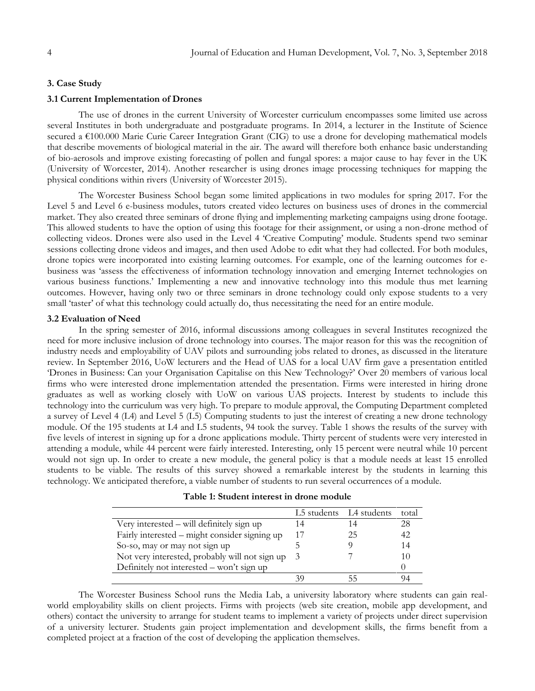## **3. Case Study**

#### **3.1 Current Implementation of Drones**

The use of drones in the current University of Worcester curriculum encompasses some limited use across several Institutes in both undergraduate and postgraduate programs. In 2014, a lecturer in the Institute of Science secured a €100.000 Marie Curie Career Integration Grant (CIG) to use a drone for developing mathematical models that describe movements of biological material in the air. The award will therefore both enhance basic understanding of bio-aerosols and improve existing forecasting of pollen and fungal spores: a major cause to hay fever in the UK (University of Worcester, 2014). Another researcher is using drones image processing techniques for mapping the physical conditions within rivers (University of Worcester 2015).

The Worcester Business School began some limited applications in two modules for spring 2017. For the Level 5 and Level 6 e-business modules, tutors created video lectures on business uses of drones in the commercial market. They also created three seminars of drone flying and implementing marketing campaigns using drone footage. This allowed students to have the option of using this footage for their assignment, or using a non-drone method of collecting videos. Drones were also used in the Level 4 "Creative Computing" module. Students spend two seminar sessions collecting drone videos and images, and then used Adobe to edit what they had collected. For both modules, drone topics were incorporated into existing learning outcomes. For example, one of the learning outcomes for ebusiness was "assess the effectiveness of information technology innovation and emerging Internet technologies on various business functions." Implementing a new and innovative technology into this module thus met learning outcomes. However, having only two or three seminars in drone technology could only expose students to a very small 'taster' of what this technology could actually do, thus necessitating the need for an entire module.

### **3.2 Evaluation of Need**

In the spring semester of 2016, informal discussions among colleagues in several Institutes recognized the need for more inclusive inclusion of drone technology into courses. The major reason for this was the recognition of industry needs and employability of UAV pilots and surrounding jobs related to drones, as discussed in the literature review. In September 2016, UoW lecturers and the Head of UAS for a local UAV firm gave a presentation entitled "Drones in Business: Can your Organisation Capitalise on this New Technology?" Over 20 members of various local firms who were interested drone implementation attended the presentation. Firms were interested in hiring drone graduates as well as working closely with UoW on various UAS projects. Interest by students to include this technology into the curriculum was very high. To prepare to module approval, the Computing Department completed a survey of Level 4 (L4) and Level 5 (L5) Computing students to just the interest of creating a new drone technology module. Of the 195 students at L4 and L5 students, 94 took the survey. Table 1 shows the results of the survey with five levels of interest in signing up for a drone applications module. Thirty percent of students were very interested in attending a module, while 44 percent were fairly interested. Interesting, only 15 percent were neutral while 10 percent would not sign up. In order to create a new module, the general policy is that a module needs at least 15 enrolled students to be viable. The results of this survey showed a remarkable interest by the students in learning this technology. We anticipated therefore, a viable number of students to run several occurrences of a module.

| Table 1: Student interest in drone module |  |  |
|-------------------------------------------|--|--|
|-------------------------------------------|--|--|

|                                                |     | L5 students L4 students | total |
|------------------------------------------------|-----|-------------------------|-------|
| Very interested – will definitely sign up      |     |                         | 28    |
| Fairly interested – might consider signing up  | 17  | 25                      | 42    |
| So-so, may or may not sign up                  |     |                         | 14    |
| Not very interested, probably will not sign up | - 3 |                         | 10    |
| Definitely not interested – won't sign up      |     |                         |       |
|                                                |     |                         |       |

The Worcester Business School runs the Media Lab, a university laboratory where students can gain realworld employability skills on client projects. Firms with projects (web site creation, mobile app development, and others) contact the university to arrange for student teams to implement a variety of projects under direct supervision of a university lecturer. Students gain project implementation and development skills, the firms benefit from a completed project at a fraction of the cost of developing the application themselves.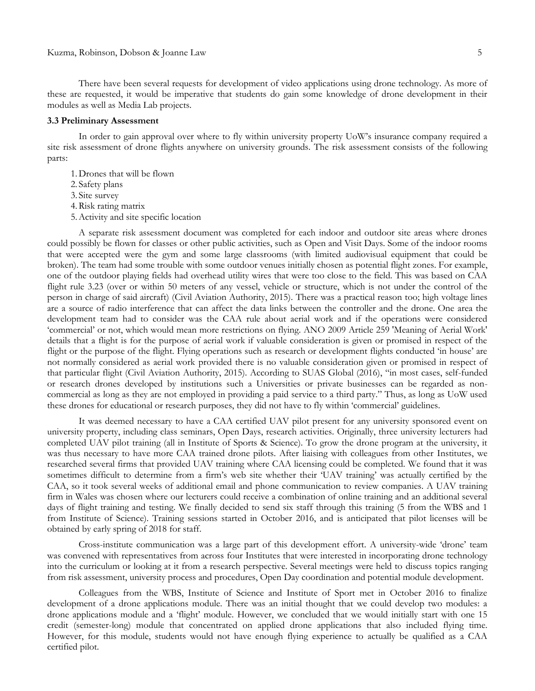There have been several requests for development of video applications using drone technology. As more of these are requested, it would be imperative that students do gain some knowledge of drone development in their modules as well as Media Lab projects.

#### **3.3 Preliminary Assessment**

In order to gain approval over where to fly within university property UoW"s insurance company required a site risk assessment of drone flights anywhere on university grounds. The risk assessment consists of the following parts:

1.Drones that will be flown

2. Safety plans

3. Site survey

4.Risk rating matrix

5.Activity and site specific location

A separate risk assessment document was completed for each indoor and outdoor site areas where drones could possibly be flown for classes or other public activities, such as Open and Visit Days. Some of the indoor rooms that were accepted were the gym and some large classrooms (with limited audiovisual equipment that could be broken). The team had some trouble with some outdoor venues initially chosen as potential flight zones. For example, one of the outdoor playing fields had overhead utility wires that were too close to the field. This was based on CAA flight rule 3.23 (over or within 50 meters of any vessel, vehicle or structure, which is not under the control of the person in charge of said aircraft) (Civil Aviation Authority, 2015). There was a practical reason too; high voltage lines are a source of radio interference that can affect the data links between the controller and the drone. One area the development team had to consider was the CAA rule about aerial work and if the operations were considered "commercial" or not, which would mean more restrictions on flying. ANO 2009 Article 259 'Meaning of Aerial Work' details that a flight is for the purpose of aerial work if valuable consideration is given or promised in respect of the flight or the purpose of the flight. Flying operations such as research or development flights conducted 'in house' are not normally considered as aerial work provided there is no valuable consideration given or promised in respect of that particular flight (Civil Aviation Authority, 2015). According to SUAS Global (2016), "in most cases, self-funded or research drones developed by institutions such a Universities or private businesses can be regarded as noncommercial as long as they are not employed in providing a paid service to a third party." Thus, as long as UoW used these drones for educational or research purposes, they did not have to fly within "commercial" guidelines.

It was deemed necessary to have a CAA certified UAV pilot present for any university sponsored event on university property, including class seminars, Open Days, research activities. Originally, three university lecturers had completed UAV pilot training (all in Institute of Sports & Science). To grow the drone program at the university, it was thus necessary to have more CAA trained drone pilots. After liaising with colleagues from other Institutes, we researched several firms that provided UAV training where CAA licensing could be completed. We found that it was sometimes difficult to determine from a firm"s web site whether their "UAV training" was actually certified by the CAA, so it took several weeks of additional email and phone communication to review companies. A UAV training firm in Wales was chosen where our lecturers could receive a combination of online training and an additional several days of flight training and testing. We finally decided to send six staff through this training (5 from the WBS and 1 from Institute of Science). Training sessions started in October 2016, and is anticipated that pilot licenses will be obtained by early spring of 2018 for staff.

Cross-institute communication was a large part of this development effort. A university-wide "drone" team was convened with representatives from across four Institutes that were interested in incorporating drone technology into the curriculum or looking at it from a research perspective. Several meetings were held to discuss topics ranging from risk assessment, university process and procedures, Open Day coordination and potential module development.

Colleagues from the WBS, Institute of Science and Institute of Sport met in October 2016 to finalize development of a drone applications module. There was an initial thought that we could develop two modules: a drone applications module and a "flight" module. However, we concluded that we would initially start with one 15 credit (semester-long) module that concentrated on applied drone applications that also included flying time. However, for this module, students would not have enough flying experience to actually be qualified as a CAA certified pilot.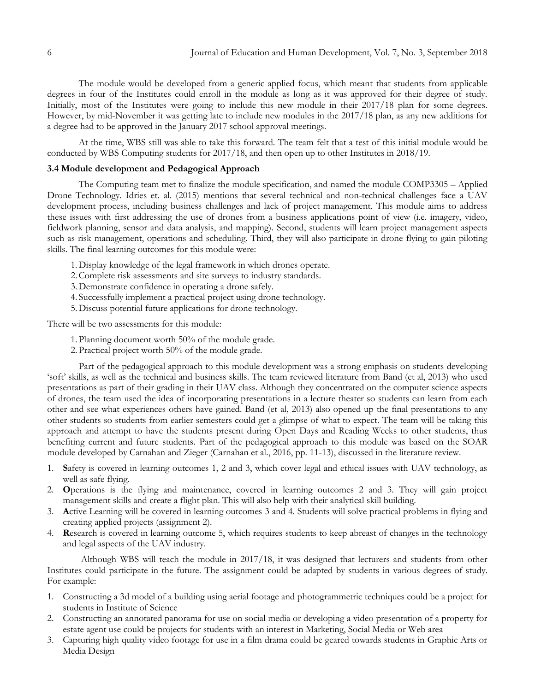The module would be developed from a generic applied focus, which meant that students from applicable degrees in four of the Institutes could enroll in the module as long as it was approved for their degree of study. Initially, most of the Institutes were going to include this new module in their 2017/18 plan for some degrees. However, by mid-November it was getting late to include new modules in the 2017/18 plan, as any new additions for a degree had to be approved in the January 2017 school approval meetings.

At the time, WBS still was able to take this forward. The team felt that a test of this initial module would be conducted by WBS Computing students for 2017/18, and then open up to other Institutes in 2018/19.

### **3.4 Module development and Pedagogical Approach**

The Computing team met to finalize the module specification, and named the module COMP3305 – Applied Drone Technology. Idries et. al. (2015) mentions that several technical and non-technical challenges face a UAV development process, including business challenges and lack of project management. This module aims to address these issues with first addressing the use of drones from a business applications point of view (i.e. imagery, video, fieldwork planning, sensor and data analysis, and mapping). Second, students will learn project management aspects such as risk management, operations and scheduling. Third, they will also participate in drone flying to gain piloting skills. The final learning outcomes for this module were:

- 1.Display knowledge of the legal framework in which drones operate.
- 2.Complete risk assessments and site surveys to industry standards.
- 3.Demonstrate confidence in operating a drone safely.
- 4. Successfully implement a practical project using drone technology.
- 5.Discuss potential future applications for drone technology.

There will be two assessments for this module:

- 1.Planning document worth 50% of the module grade.
- 2.Practical project worth 50% of the module grade.

Part of the pedagogical approach to this module development was a strong emphasis on students developing "soft" skills, as well as the technical and business skills. The team reviewed literature from Band (et al, 2013) who used presentations as part of their grading in their UAV class. Although they concentrated on the computer science aspects of drones, the team used the idea of incorporating presentations in a lecture theater so students can learn from each other and see what experiences others have gained. Band (et al, 2013) also opened up the final presentations to any other students so students from earlier semesters could get a glimpse of what to expect. The team will be taking this approach and attempt to have the students present during Open Days and Reading Weeks to other students, thus benefiting current and future students. Part of the pedagogical approach to this module was based on the SOAR module developed by Carnahan and Zieger (Carnahan et al., 2016, pp. 11-13), discussed in the literature review.

- 1. **S**afety is covered in learning outcomes 1, 2 and 3, which cover legal and ethical issues with UAV technology, as well as safe flying.
- 2. **O**perations is the flying and maintenance, covered in learning outcomes 2 and 3. They will gain project management skills and create a flight plan. This will also help with their analytical skill building.
- 3. **A**ctive Learning will be covered in learning outcomes 3 and 4. Students will solve practical problems in flying and creating applied projects (assignment 2).
- 4. **R**esearch is covered in learning outcome 5, which requires students to keep abreast of changes in the technology and legal aspects of the UAV industry.

Although WBS will teach the module in 2017/18, it was designed that lecturers and students from other Institutes could participate in the future. The assignment could be adapted by students in various degrees of study. For example:

- 1. Constructing a 3d model of a building using aerial footage and photogrammetric techniques could be a project for students in Institute of Science
- 2. Constructing an annotated panorama for use on social media or developing a video presentation of a property for estate agent use could be projects for students with an interest in Marketing, Social Media or Web area
- 3. Capturing high quality video footage for use in a film drama could be geared towards students in Graphic Arts or Media Design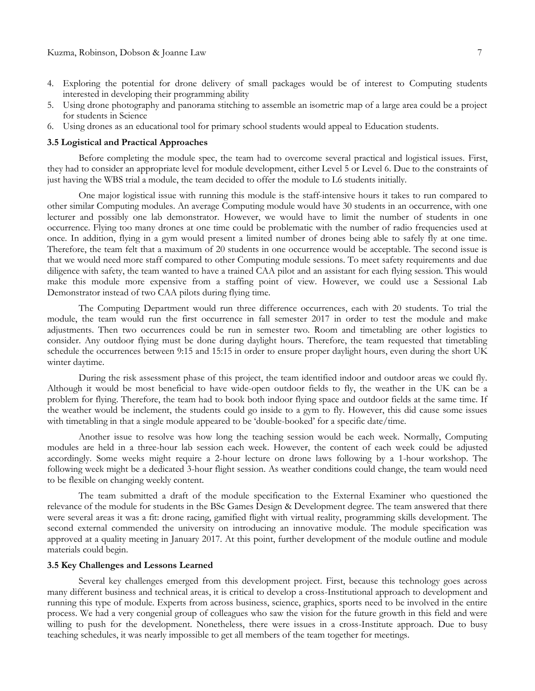- 4. Exploring the potential for drone delivery of small packages would be of interest to Computing students interested in developing their programming ability
- 5. Using drone photography and panorama stitching to assemble an isometric map of a large area could be a project for students in Science
- 6. Using drones as an educational tool for primary school students would appeal to Education students.

#### **3.5 Logistical and Practical Approaches**

Before completing the module spec, the team had to overcome several practical and logistical issues. First, they had to consider an appropriate level for module development, either Level 5 or Level 6. Due to the constraints of just having the WBS trial a module, the team decided to offer the module to L6 students initially.

One major logistical issue with running this module is the staff-intensive hours it takes to run compared to other similar Computing modules. An average Computing module would have 30 students in an occurrence, with one lecturer and possibly one lab demonstrator. However, we would have to limit the number of students in one occurrence. Flying too many drones at one time could be problematic with the number of radio frequencies used at once. In addition, flying in a gym would present a limited number of drones being able to safely fly at one time. Therefore, the team felt that a maximum of 20 students in one occurrence would be acceptable. The second issue is that we would need more staff compared to other Computing module sessions. To meet safety requirements and due diligence with safety, the team wanted to have a trained CAA pilot and an assistant for each flying session. This would make this module more expensive from a staffing point of view. However, we could use a Sessional Lab Demonstrator instead of two CAA pilots during flying time.

The Computing Department would run three difference occurrences, each with 20 students. To trial the module, the team would run the first occurrence in fall semester 2017 in order to test the module and make adjustments. Then two occurrences could be run in semester two. Room and timetabling are other logistics to consider. Any outdoor flying must be done during daylight hours. Therefore, the team requested that timetabling schedule the occurrences between 9:15 and 15:15 in order to ensure proper daylight hours, even during the short UK winter daytime.

During the risk assessment phase of this project, the team identified indoor and outdoor areas we could fly. Although it would be most beneficial to have wide-open outdoor fields to fly, the weather in the UK can be a problem for flying. Therefore, the team had to book both indoor flying space and outdoor fields at the same time. If the weather would be inclement, the students could go inside to a gym to fly. However, this did cause some issues with timetabling in that a single module appeared to be "double-booked" for a specific date/time.

Another issue to resolve was how long the teaching session would be each week. Normally, Computing modules are held in a three-hour lab session each week. However, the content of each week could be adjusted accordingly. Some weeks might require a 2-hour lecture on drone laws following by a 1-hour workshop. The following week might be a dedicated 3-hour flight session. As weather conditions could change, the team would need to be flexible on changing weekly content.

The team submitted a draft of the module specification to the External Examiner who questioned the relevance of the module for students in the BSc Games Design & Development degree. The team answered that there were several areas it was a fit: drone racing, gamified flight with virtual reality, programming skills development. The second external commended the university on introducing an innovative module. The module specification was approved at a quality meeting in January 2017. At this point, further development of the module outline and module materials could begin.

#### **3.5 Key Challenges and Lessons Learned**

Several key challenges emerged from this development project. First, because this technology goes across many different business and technical areas, it is critical to develop a cross-Institutional approach to development and running this type of module. Experts from across business, science, graphics, sports need to be involved in the entire process. We had a very congenial group of colleagues who saw the vision for the future growth in this field and were willing to push for the development. Nonetheless, there were issues in a cross-Institute approach. Due to busy teaching schedules, it was nearly impossible to get all members of the team together for meetings.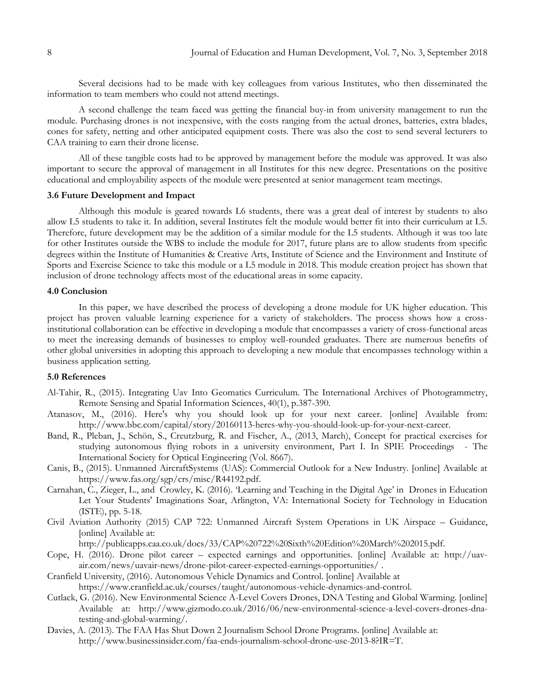Several decisions had to be made with key colleagues from various Institutes, who then disseminated the information to team members who could not attend meetings.

A second challenge the team faced was getting the financial buy-in from university management to run the module. Purchasing drones is not inexpensive, with the costs ranging from the actual drones, batteries, extra blades, cones for safety, netting and other anticipated equipment costs. There was also the cost to send several lecturers to CAA training to earn their drone license.

All of these tangible costs had to be approved by management before the module was approved. It was also important to secure the approval of management in all Institutes for this new degree. Presentations on the positive educational and employability aspects of the module were presented at senior management team meetings.

#### **3.6 Future Development and Impact**

Although this module is geared towards L6 students, there was a great deal of interest by students to also allow L5 students to take it. In addition, several Institutes felt the module would better fit into their curriculum at L5. Therefore, future development may be the addition of a similar module for the L5 students. Although it was too late for other Institutes outside the WBS to include the module for 2017, future plans are to allow students from specific degrees within the Institute of Humanities & Creative Arts, Institute of Science and the Environment and Institute of Sports and Exercise Science to take this module or a L5 module in 2018. This module creation project has shown that inclusion of drone technology affects most of the educational areas in some capacity.

#### **4.0 Conclusion**

In this paper, we have described the process of developing a drone module for UK higher education. This project has proven valuable learning experience for a variety of stakeholders. The process shows how a crossinstitutional collaboration can be effective in developing a module that encompasses a variety of cross-functional areas to meet the increasing demands of businesses to employ well-rounded graduates. There are numerous benefits of other global universities in adopting this approach to developing a new module that encompasses technology within a business application setting.

## **5.0 References**

- Al-Tahir, R., (2015). Integrating Uav Into Geomatics Curriculum. The International Archives of Photogrammetry, Remote Sensing and Spatial Information Sciences, 40(1), p.387-390.
- Atanasov, M., (2016). Here's why you should look up for your next career. [online] Available from: [http://www.bbc.com/capital/story/20160113-heres-why-you-should-look-up-for-your-next-career.](http://www.bbc.com/capital/story/20160113-heres-why-you-should-look-up-for-your-next-career)
- Band, R., Pleban, J., Schön, S., Creutzburg, R. and Fischer, A., (2013, March), Concept for practical exercises for studying autonomous flying robots in a university environment, Part I. In SPIE Proceedings - The International Society for Optical Engineering (Vol. 8667).
- Canis, B., (2015). Unmanned AircraftSystems (UAS): Commercial Outlook for a New Industry. [online] Available at [https://www.fas.org/sgp/crs/misc/R44192.pdf.](https://www.fas.org/sgp/crs/misc/R44192.pdf)
- Carnahan, C., Zieger, L., and Crowley, K. (2016). "Learning and Teaching in the Digital Age" in Drones in Education Let Your Students' Imaginations Soar, Arlington, VA: International Society for Technology in Education (ISTE), pp. 5-18.
- Civil Aviation Authority (2015) CAP 722: Unmanned Aircraft System Operations in UK Airspace Guidance, [online] Available at:

[http://publicapps.caa.co.uk/docs/33/CAP%20722%20Sixth%20Edition%20March%202015.pdf.](http://publicapps.caa.co.uk/docs/33/CAP%20722%20Sixth%20Edition%20March%202015.pdf)

- Cope, H. (2016). Drone pilot career expected earnings and opportunities. [online] Available at: [http://uav](http://uav-air.com/news/uavair-news/drone-pilot-career-expected-earnings-opportunities/)[air.com/news/uavair-news/drone-pilot-career-expected-earnings-opportunities/](http://uav-air.com/news/uavair-news/drone-pilot-career-expected-earnings-opportunities/) .
- Cranfield University, (2016). Autonomous Vehicle Dynamics and Control. [online] Available at [https://www.cranfield.ac.uk/courses/taught/autonomous-vehicle-dynamics-and-control.](https://www.cranfield.ac.uk/courses/taught/autonomous-vehicle-dynamics-and-control)
- Cutlack, G. (2016). New Environmental Science A-Level Covers Drones, DNA Testing and Global Warming. [online] Available at: [http://www.gizmodo.co.uk/2016/06/new-environmental-science-a-level-covers-drones-dna](http://www.gizmodo.co.uk/2016/06/new-environmental-science-a-level-covers-drones-dna-testing-and-global-warming/)[testing-and-global-warming/.](http://www.gizmodo.co.uk/2016/06/new-environmental-science-a-level-covers-drones-dna-testing-and-global-warming/)
- Davies, A. (2013). The FAA Has Shut Down 2 Journalism School Drone Programs. [online] Available at: [http://www.businessinsider.com/faa-ends-journalism-school-drone-use-2013-8?IR=T.](http://www.businessinsider.com/faa-ends-journalism-school-drone-use-2013-8?IR=T)